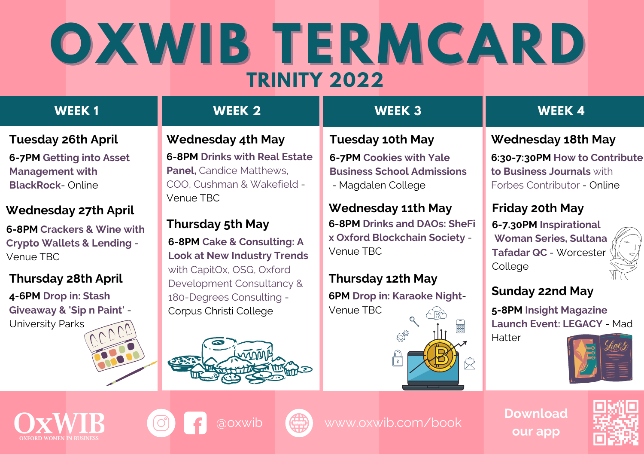## **OXWIB TERMCARD TRINITY 2022**

| <b>WEEK1</b>                                                                                                                                                                             | <b>WEEK 2</b>                                                                                                                                                                                               | <b>WEEK 3</b>                                                                                                                                                                   | <b>WEEK4</b>                                                                                                                                                                            |
|------------------------------------------------------------------------------------------------------------------------------------------------------------------------------------------|-------------------------------------------------------------------------------------------------------------------------------------------------------------------------------------------------------------|---------------------------------------------------------------------------------------------------------------------------------------------------------------------------------|-----------------------------------------------------------------------------------------------------------------------------------------------------------------------------------------|
| <b>Tuesday 26th April</b>                                                                                                                                                                | <b>Wednesday 4th May</b>                                                                                                                                                                                    | <b>Tuesday 10th May</b>                                                                                                                                                         | Wednesday 18th May                                                                                                                                                                      |
| 6-7PM Getting into Asset<br><b>Management with</b><br><b>BlackRock-Online</b>                                                                                                            | <b>6-8PM Drinks with Real Estate</b><br>Panel, Candice Matthews,<br>COO, Cushman & Wakefield -<br>Venue TBC                                                                                                 | 6-7PM Cookies with Yale<br><b>Business School Admissions</b><br>- Magdalen College                                                                                              | 6:30-7:30PM How to Contribute<br>to Business Journals with<br>Forbes Contributor - Online                                                                                               |
| <b>Wednesday 27th April</b>                                                                                                                                                              |                                                                                                                                                                                                             | <b>Wednesday 11th May</b>                                                                                                                                                       | Friday 20th May                                                                                                                                                                         |
| 6-8PM Crackers & Wine with<br><b>Crypto Wallets &amp; Lending -</b><br>Venue TBC<br><b>Thursday 28th April</b><br>4-6PM Drop in: Stash<br>Giveaway & 'Sip n Paint' -<br>University Parks | <b>Thursday 5th May</b><br>6-8PM Cake & Consulting: A<br><b>Look at New Industry Trends</b><br>with CapitOx, OSG, Oxford<br>Development Consultancy &<br>180-Degrees Consulting -<br>Corpus Christi College | <b>6-8PM Drinks and DAOs: SheFi</b><br>x Oxford Blockchain Society -<br>Venue TBC<br><b>Thursday 12th May</b><br>6PM Drop in: Karaoke Night-<br>Venue TBC<br>ැරි<br>$\boxed{2}$ | 6-7.30PM Inspirational<br><b>Woman Series, Sultana</b><br>Tafadar QC - Worcester<br>College<br><b>Sunday 22nd May</b><br>5-8PM Insight Magazine<br>Launch Event: LEGACY - Mad<br>Hatter |
|                                                                                                                                                                                          |                                                                                                                                                                                                             |                                                                                                                                                                                 |                                                                                                                                                                                         |







@oxwib www.oxwib.com/book

**Download our app**